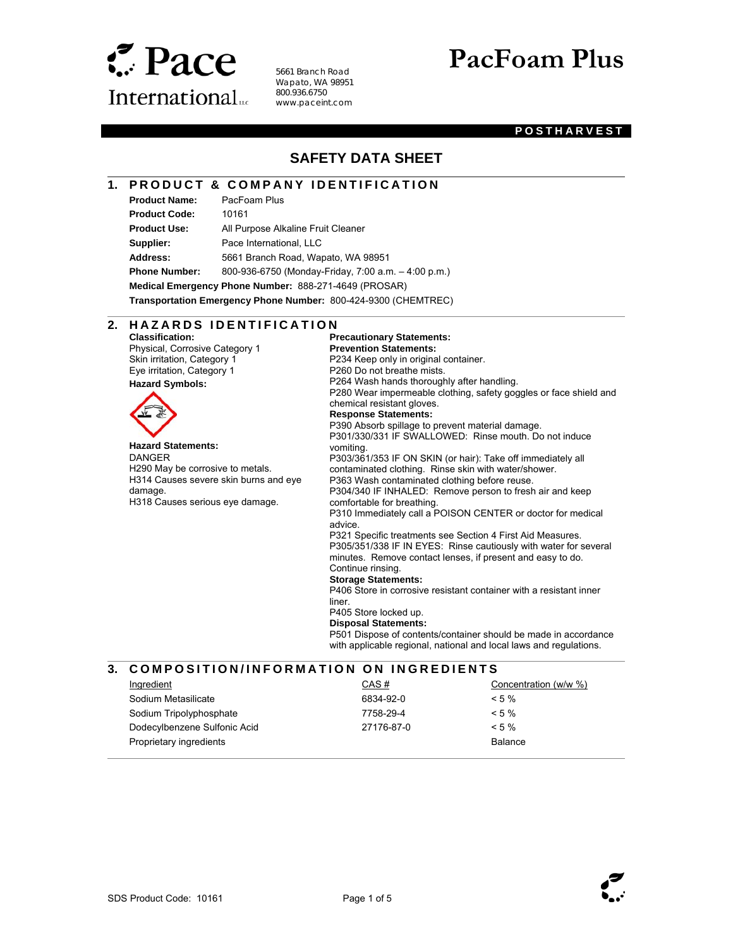

5661 Branch Road Wapato, WA 98951 800.936.6750 www.paceint.com

# **PacFoam Plus**

#### **POSTHARVEST**

## **SAFETY DATA SHEET**

## **1. PRODUCT & COMPANY IDENTIFICATION**

**Product Name:** PacFoam Plus **Product Code:** 10161

l

 $\overline{a}$ 

 $\overline{\phantom{a}}$ 

**Product Use:** All Purpose Alkaline Fruit Cleaner **Supplier:** Pace International, LLC **Address:** 5661 Branch Road, Wapato, WA 98951 **Phone Number:** 800-936-6750 (Monday-Friday, 7:00 a.m. – 4:00 p.m.)

**Medical Emergency Phone Number:** 888-271-4649 (PROSAR)

**Transportation Emergency Phone Number:** 800-424-9300 (CHEMTREC)

#### 2. HAZARDS IDENTIFICATION

**Classification:**  Physical, Corrosive Category 1 Skin irritation, Category 1 Eye irritation, Category 1 **Hazard Symbols:** 



**Hazard Statements:**  DANGER H290 May be corrosive to metals. H314 Causes severe skin burns and eye damage. H318 Causes serious eye damage.

**Precautionary Statements: Prevention Statements:**  P234 Keep only in original container. P260 Do not breathe mists. P264 Wash hands thoroughly after handling. P280 Wear impermeable clothing, safety goggles or face shield and chemical resistant gloves. **Response Statements:**  P390 Absorb spillage to prevent material damage. P301/330/331 IF SWALLOWED: Rinse mouth. Do not induce vomiting. P303/361/353 IF ON SKIN (or hair): Take off immediately all contaminated clothing. Rinse skin with water/shower. P363 Wash contaminated clothing before reuse. P304/340 IF INHALED: Remove person to fresh air and keep comfortable for breathing. P310 Immediately call a POISON CENTER or doctor for medical advice. P321 Specific treatments see Section 4 First Aid Measures. P305/351/338 IF IN EYES: Rinse cautiously with water for several minutes. Remove contact lenses, if present and easy to do. Continue rinsing. **Storage Statements:**  P406 Store in corrosive resistant container with a resistant inner liner. P405 Store locked up.

**Disposal Statements:** 

P501 Dispose of contents/container should be made in accordance with applicable regional, national and local laws and regulations.

#### **3. COMPOSITION/INFORMATION ON INGREDIENTS**

| Ingredient                   | CAS#       | Concentration (w/w %) |
|------------------------------|------------|-----------------------|
| Sodium Metasilicate          | 6834-92-0  | $< 5 \%$              |
| Sodium Tripolyphosphate      | 7758-29-4  | $< 5 \%$              |
| Dodecylbenzene Sulfonic Acid | 27176-87-0 | $< 5\%$               |
| Proprietary ingredients      |            | Balance               |
|                              |            |                       |

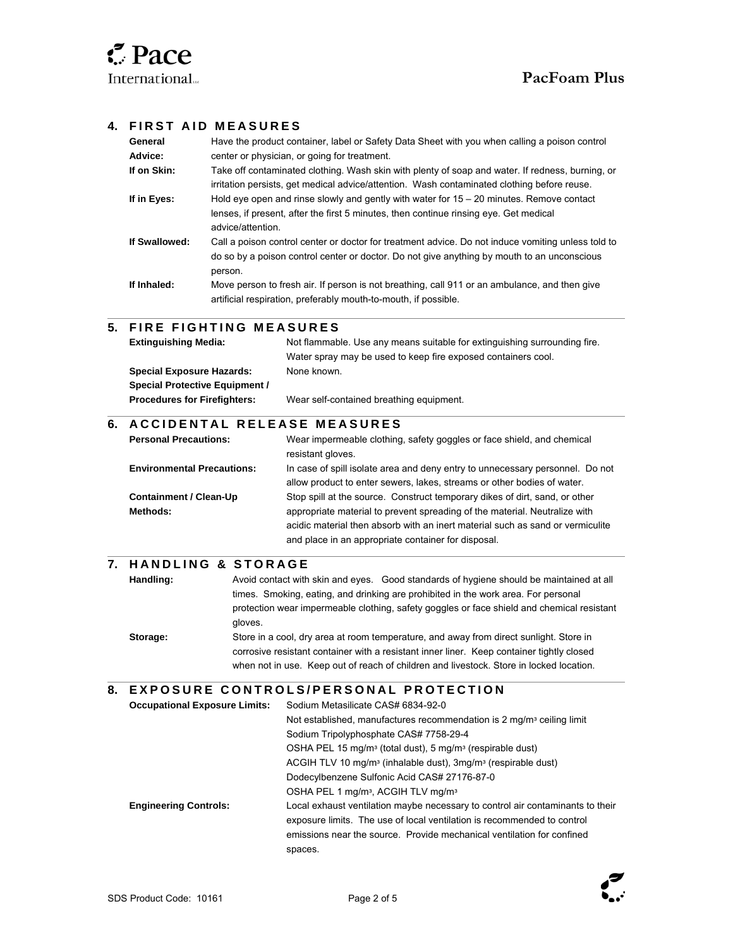l

l

 $\overline{a}$ 

l

## **4. FIRST AID MEASURES**

| General       | Have the product container, label or Safety Data Sheet with you when calling a poison control                                                                                                                |
|---------------|--------------------------------------------------------------------------------------------------------------------------------------------------------------------------------------------------------------|
| Advice:       | center or physician, or going for treatment.                                                                                                                                                                 |
| If on Skin:   | Take off contaminated clothing. Wash skin with plenty of soap and water. If redness, burning, or<br>irritation persists, get medical advice/attention. Wash contaminated clothing before reuse.              |
| If in Eyes:   | Hold eye open and rinse slowly and gently with water for $15 - 20$ minutes. Remove contact<br>lenses, if present, after the first 5 minutes, then continue rinsing eye. Get medical<br>advice/attention.     |
| If Swallowed: | Call a poison control center or doctor for treatment advice. Do not induce vomiting unless told to<br>do so by a poison control center or doctor. Do not give anything by mouth to an unconscious<br>person. |
| If Inhaled:   | Move person to fresh air. If person is not breathing, call 911 or an ambulance, and then give<br>artificial respiration, preferably mouth-to-mouth, if possible.                                             |

## **5. FIRE FIGHTING MEASURES**

| <b>Extinguishing Media:</b>           | Not flammable. Use any means suitable for extinguishing surrounding fire. |
|---------------------------------------|---------------------------------------------------------------------------|
|                                       | Water spray may be used to keep fire exposed containers cool.             |
| <b>Special Exposure Hazards:</b>      | None known.                                                               |
| <b>Special Protective Equipment /</b> |                                                                           |
| <b>Procedures for Firefighters:</b>   | Wear self-contained breathing equipment.                                  |
|                                       |                                                                           |

#### **6. A C C I D E N T A L RELEASE MEASURES**

| <b>Personal Precautions:</b>      | Wear impermeable clothing, safety goggles or face shield, and chemical<br>resistant gloves.                                                                  |
|-----------------------------------|--------------------------------------------------------------------------------------------------------------------------------------------------------------|
| <b>Environmental Precautions:</b> | In case of spill isolate area and deny entry to unnecessary personnel. Do not<br>allow product to enter sewers, lakes, streams or other bodies of water.     |
| <b>Containment / Clean-Up</b>     | Stop spill at the source. Construct temporary dikes of dirt, sand, or other                                                                                  |
| Methods:                          | appropriate material to prevent spreading of the material. Neutralize with<br>acidic material then absorb with an inert material such as sand or vermiculite |
|                                   | and place in an appropriate container for disposal.                                                                                                          |

## **7. H A N D L I N G & S T O R A G E**

| Handling: | Avoid contact with skin and eyes. Good standards of hygiene should be maintained at all    |
|-----------|--------------------------------------------------------------------------------------------|
|           | times. Smoking, eating, and drinking are prohibited in the work area. For personal         |
|           | protection wear impermeable clothing, safety goggles or face shield and chemical resistant |
|           | aloves.                                                                                    |
| Storage:  | Store in a cool, dry area at room temperature, and away from direct sunlight. Store in     |
|           | corrosive resistant container with a resistant inner liner. Keep container tightly closed  |

when not in use. Keep out of reach of children and livestock. Store in locked location.

#### **8. E X P O S U R E C O N T R O L S / P E R S O N A L P R O T E C T I O N**

| <b>Occupational Exposure Limits:</b> | Sodium Metasilicate CAS# 6834-92-0                                                    |
|--------------------------------------|---------------------------------------------------------------------------------------|
|                                      | Not established, manufactures recommendation is 2 mg/m <sup>3</sup> ceiling limit     |
|                                      | Sodium Tripolyphosphate CAS# 7758-29-4                                                |
|                                      | OSHA PEL 15 mg/m <sup>3</sup> (total dust), 5 mg/m <sup>3</sup> (respirable dust)     |
|                                      | ACGIH TLV 10 mg/m <sup>3</sup> (inhalable dust), 3mg/m <sup>3</sup> (respirable dust) |
|                                      | Dodecylbenzene Sulfonic Acid CAS# 27176-87-0                                          |
|                                      | OSHA PEL 1 mg/m <sup>3</sup> , ACGIH TLV mg/m <sup>3</sup>                            |
| <b>Engineering Controls:</b>         | Local exhaust ventilation maybe necessary to control air contaminants to their        |
|                                      | exposure limits. The use of local ventilation is recommended to control               |
|                                      | emissions near the source. Provide mechanical ventilation for confined                |
|                                      | spaces.                                                                               |

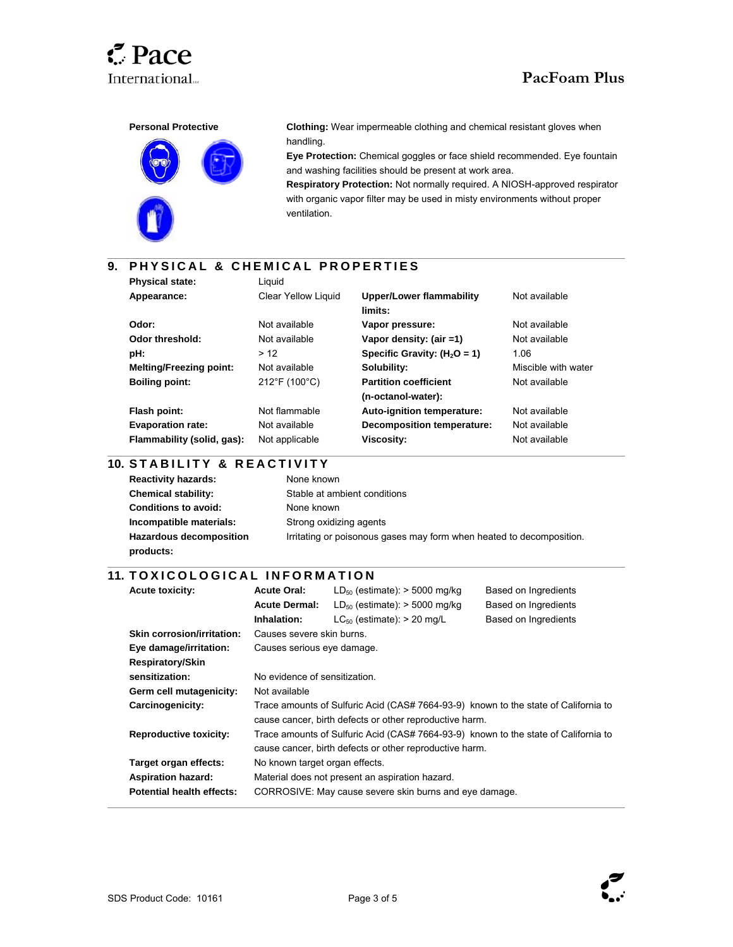l

l

 $\overline{\phantom{a}}$ 

## International...<br> **PacFoam Plus**



**Clothing:** Wear impermeable clothing and chemical resistant gloves when handling.

**Eye Protection:** Chemical goggles or face shield recommended. Eye fountain and washing facilities should be present at work area.

**Respiratory Protection:** Not normally required. A NIOSH-approved respirator with organic vapor filter may be used in misty environments without proper ventilation.

## **9. P H Y S I C A L & C H E M I C A L P R O P E R T I E S**

| <b>Physical state:</b>         | Liauid                       |                                   |                     |
|--------------------------------|------------------------------|-----------------------------------|---------------------|
| Appearance:                    | <b>Clear Yellow Liquid</b>   | <b>Upper/Lower flammability</b>   | Not available       |
|                                |                              | limits:                           |                     |
| Odor:                          | Not available                | Vapor pressure:                   | Not available       |
| Odor threshold:                | Not available                | Vapor density: (air =1)           | Not available       |
| pH:                            | > 12                         | Specific Gravity: $(H2O = 1)$     | 1.06                |
| <b>Melting/Freezing point:</b> | Not available                | Solubility:                       | Miscible with water |
| <b>Boiling point:</b>          | $212^{\circ}F(100^{\circ}C)$ | <b>Partition coefficient</b>      | Not available       |
|                                |                              | (n-octanol-water):                |                     |
| Flash point:                   | Not flammable                | Auto-ignition temperature:        | Not available       |
| <b>Evaporation rate:</b>       | Not available                | <b>Decomposition temperature:</b> | Not available       |
| Flammability (solid, gas):     | Not applicable               | <b>Viscosity:</b>                 | Not available       |

#### $\overline{\phantom{a}}$ **10. S T A B I L I T Y & R E A C T I V I T Y**

| <b>Reactivity hazards:</b>     | None known                                                           |
|--------------------------------|----------------------------------------------------------------------|
| <b>Chemical stability:</b>     | Stable at ambient conditions                                         |
| <b>Conditions to avoid:</b>    | None known                                                           |
| Incompatible materials:        | Strong oxidizing agents                                              |
| <b>Hazardous decomposition</b> | Irritating or poisonous gases may form when heated to decomposition. |
| products:                      |                                                                      |

#### **11. TOXICOLOGICAL INFORMATION**

| <b>Acute toxicity:</b>            | <b>Acute Oral:</b>                                                                  | $LD_{50}$ (estimate): > 5000 mg/kg                                                  | Based on Ingredients |
|-----------------------------------|-------------------------------------------------------------------------------------|-------------------------------------------------------------------------------------|----------------------|
|                                   | <b>Acute Dermal:</b>                                                                | $LD_{50}$ (estimate): > 5000 mg/kg                                                  | Based on Ingredients |
|                                   | Inhalation:                                                                         | $LC_{50}$ (estimate): > 20 mg/L                                                     | Based on Ingredients |
| <b>Skin corrosion/irritation:</b> | Causes severe skin burns.                                                           |                                                                                     |                      |
| Eye damage/irritation:            | Causes serious eye damage.                                                          |                                                                                     |                      |
| Respiratory/Skin                  |                                                                                     |                                                                                     |                      |
| sensitization:                    | No evidence of sensitization.                                                       |                                                                                     |                      |
| Germ cell mutagenicity:           | Not available                                                                       |                                                                                     |                      |
| Carcinogenicity:                  | Trace amounts of Sulfuric Acid (CAS# 7664-93-9) known to the state of California to |                                                                                     |                      |
|                                   |                                                                                     | cause cancer, birth defects or other reproductive harm.                             |                      |
| <b>Reproductive toxicity:</b>     |                                                                                     | Trace amounts of Sulfuric Acid (CAS# 7664-93-9) known to the state of California to |                      |
|                                   |                                                                                     | cause cancer, birth defects or other reproductive harm.                             |                      |
| Target organ effects:             | No known target organ effects.                                                      |                                                                                     |                      |
| <b>Aspiration hazard:</b>         |                                                                                     | Material does not present an aspiration hazard.                                     |                      |
| <b>Potential health effects:</b>  | CORROSIVE: May cause severe skin burns and eye damage.                              |                                                                                     |                      |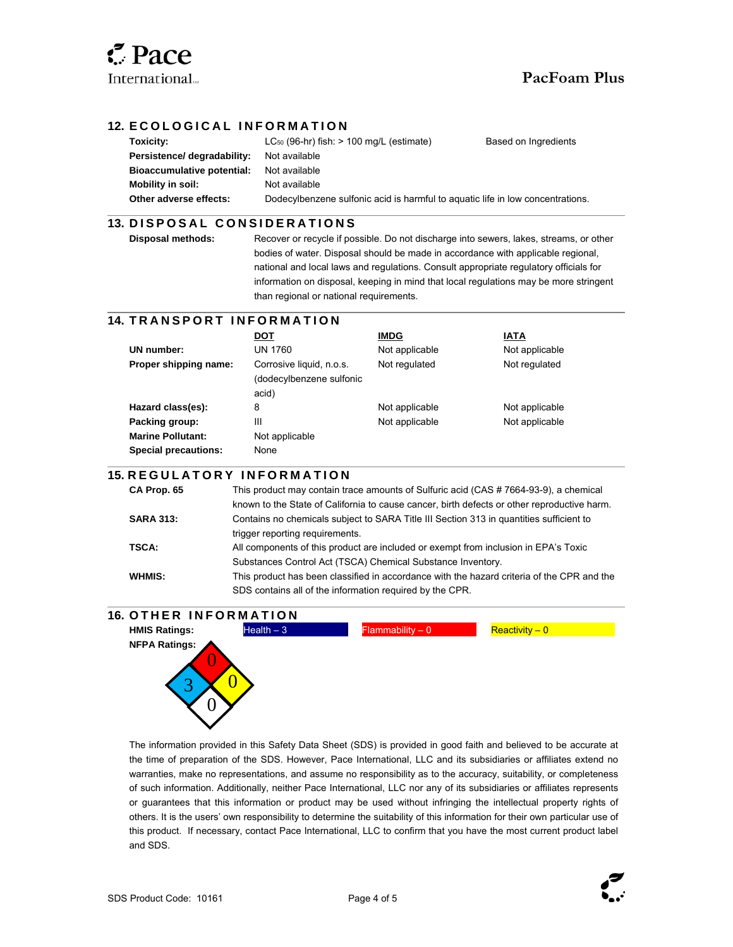l

 $\overline{\phantom{a}}$ 

l

 $\overline{\phantom{a}}$ 

### **12. ECOLOGICAL INFORMATION**

| Toxicity:                         | $LC_{50}$ (96-hr) fish: $> 100$ mg/L (estimate)                                | Based on Ingredients |
|-----------------------------------|--------------------------------------------------------------------------------|----------------------|
| Persistence/ degradability:       | Not available                                                                  |                      |
| <b>Bioaccumulative potential:</b> | Not available                                                                  |                      |
| Mobility in soil:                 | Not available                                                                  |                      |
| Other adverse effects:            | Dodecylbenzene sulfonic acid is harmful to aquatic life in low concentrations. |                      |
|                                   |                                                                                |                      |

#### **13. DISPOSAL CONSIDERATIONS**

**Disposal methods:** Recover or recycle if possible. Do not discharge into sewers, lakes, streams, or other bodies of water. Disposal should be made in accordance with applicable regional, national and local laws and regulations. Consult appropriate regulatory officials for information on disposal, keeping in mind that local regulations may be more stringent than regional or national requirements.

## **14. TRANSPORT INFORMATION**

|                             | DOT                      | <b>IMDG</b>    | IATA           |
|-----------------------------|--------------------------|----------------|----------------|
| UN number:                  | UN 1760                  | Not applicable | Not applicable |
| Proper shipping name:       | Corrosive liquid, n.o.s. | Not regulated  | Not regulated  |
|                             | (dodecylbenzene sulfonic |                |                |
|                             | acid)                    |                |                |
| Hazard class(es):           | 8                        | Not applicable | Not applicable |
| Packing group:              | Ш                        | Not applicable | Not applicable |
| <b>Marine Pollutant:</b>    | Not applicable           |                |                |
| <b>Special precautions:</b> | None                     |                |                |

#### **15. R E G U L A T O R Y I N F O R M A T I O N**

| CA Prop. 65      | This product may contain trace amounts of Sulfuric acid (CAS #7664-93-9), a chemical        |
|------------------|---------------------------------------------------------------------------------------------|
|                  | known to the State of California to cause cancer, birth defects or other reproductive harm. |
| <b>SARA 313:</b> | Contains no chemicals subject to SARA Title III Section 313 in quantities sufficient to     |
|                  | trigger reporting requirements.                                                             |
| TSCA:            | All components of this product are included or exempt from inclusion in EPA's Toxic         |
|                  | Substances Control Act (TSCA) Chemical Substance Inventory.                                 |
| WHMIS:           | This product has been classified in accordance with the hazard criteria of the CPR and the  |
|                  | SDS contains all of the information required by the CPR.                                    |

#### **16. OTHER INFORMATION**



The information provided in this Safety Data Sheet (SDS) is provided in good faith and believed to be accurate at the time of preparation of the SDS. However, Pace International, LLC and its subsidiaries or affiliates extend no warranties, make no representations, and assume no responsibility as to the accuracy, suitability, or completeness of such information. Additionally, neither Pace International, LLC nor any of its subsidiaries or affiliates represents or guarantees that this information or product may be used without infringing the intellectual property rights of others. It is the users' own responsibility to determine the suitability of this information for their own particular use of this product. If necessary, contact Pace International, LLC to confirm that you have the most current product label and SDS.